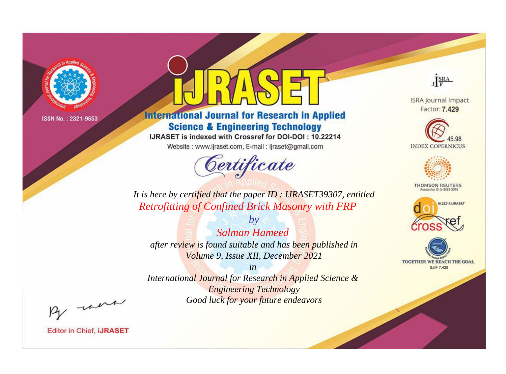

# **International Journal for Research in Applied Science & Engineering Technology**

IJRASET is indexed with Crossref for DOI-DOI: 10.22214

Website: www.ijraset.com, E-mail: ijraset@gmail.com



JERA

**ISRA Journal Impact** Factor: 7.429





**THOMSON REUTERS** 



TOGETHER WE REACH THE GOAL **SJIF 7.429** 

It is here by certified that the paper ID: IJRASET39307, entitled **Retrofitting of Confined Brick Masonry with FRP** 

 $b\nu$ **Salman Hameed** after review is found suitable and has been published in Volume 9, Issue XII, December 2021

 $in$ International Journal for Research in Applied Science & **Engineering Technology** Good luck for your future endeavors

By morn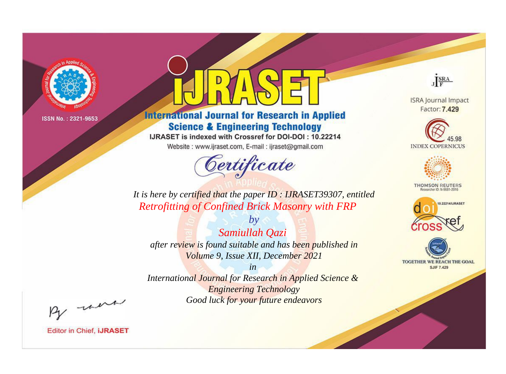

# **International Journal for Research in Applied Science & Engineering Technology**

IJRASET is indexed with Crossref for DOI-DOI: 10.22214

Website: www.ijraset.com, E-mail: ijraset@gmail.com



JERA

**ISRA Journal Impact** Factor: 7.429





**THOMSON REUTERS** 



TOGETHER WE REACH THE GOAL **SJIF 7.429** 

It is here by certified that the paper ID: IJRASET39307, entitled **Retrofitting of Confined Brick Masonry with FRP** 

 $by$ Samiullah Qazi after review is found suitable and has been published in Volume 9, Issue XII, December 2021

 $in$ International Journal for Research in Applied Science & **Engineering Technology** Good luck for your future endeavors

By morn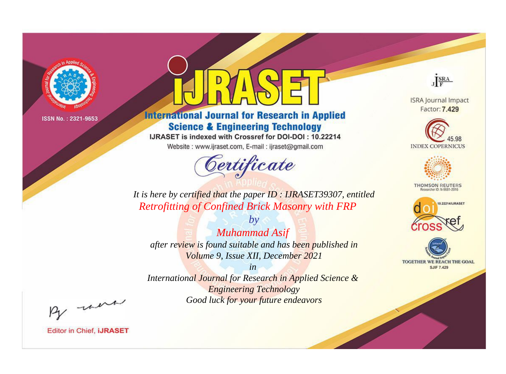

# **International Journal for Research in Applied Science & Engineering Technology**

IJRASET is indexed with Crossref for DOI-DOI: 10.22214

Website: www.ijraset.com, E-mail: ijraset@gmail.com



JERA

**ISRA Journal Impact** Factor: 7.429





**THOMSON REUTERS** 



TOGETHER WE REACH THE GOAL **SJIF 7.429** 

It is here by certified that the paper ID: IJRASET39307, entitled **Retrofitting of Confined Brick Masonry with FRP** 

 $by$ **Muhammad Asif** after review is found suitable and has been published in Volume 9, Issue XII, December 2021

 $in$ International Journal for Research in Applied Science & **Engineering Technology** Good luck for your future endeavors

By morn